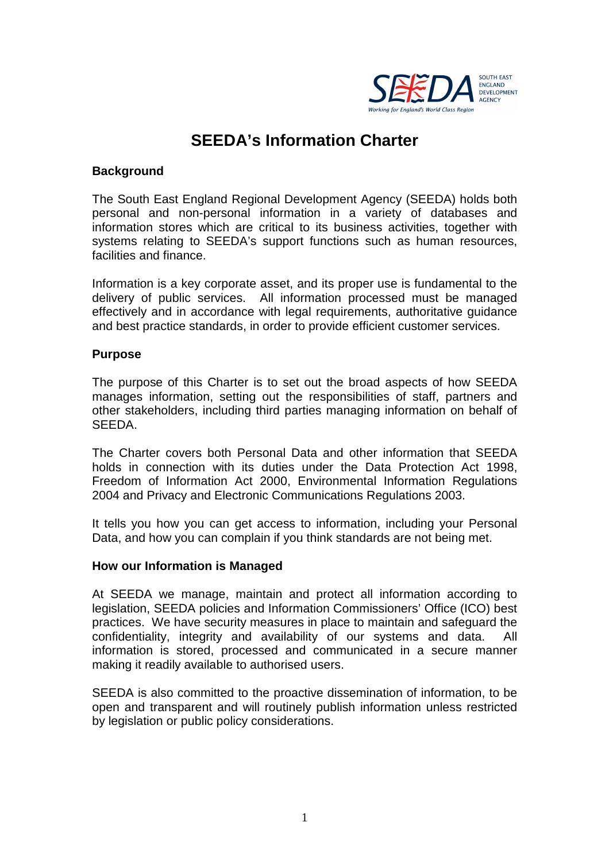

# **SEEDA's Information Charter**

#### **Background**

The South East England Regional Development Agency (SEEDA) holds both personal and non-personal information in a variety of databases and information stores which are critical to its business activities, together with systems relating to SEEDA's support functions such as human resources, facilities and finance.

Information is a key corporate asset, and its proper use is fundamental to the delivery of public services. All information processed must be managed effectively and in accordance with legal requirements, authoritative guidance and best practice standards, in order to provide efficient customer services.

#### **Purpose**

The purpose of this Charter is to set out the broad aspects of how SEEDA manages information, setting out the responsibilities of staff, partners and other stakeholders, including third parties managing information on behalf of SEEDA.

The Charter covers both Personal Data and other information that SEEDA holds in connection with its duties under the Data Protection Act 1998, Freedom of Information Act 2000, Environmental Information Regulations 2004 and Privacy and Electronic Communications Regulations 2003.

It tells you how you can get access to information, including your Personal Data, and how you can complain if you think standards are not being met.

#### **How our Information is Managed**

At SEEDA we manage, maintain and protect all information according to legislation, SEEDA policies and Information Commissioners' Office (ICO) best practices. We have security measures in place to maintain and safeguard the confidentiality, integrity and availability of our systems and data. All information is stored, processed and communicated in a secure manner making it readily available to authorised users.

SEEDA is also committed to the proactive dissemination of information, to be open and transparent and will routinely publish information unless restricted by legislation or public policy considerations.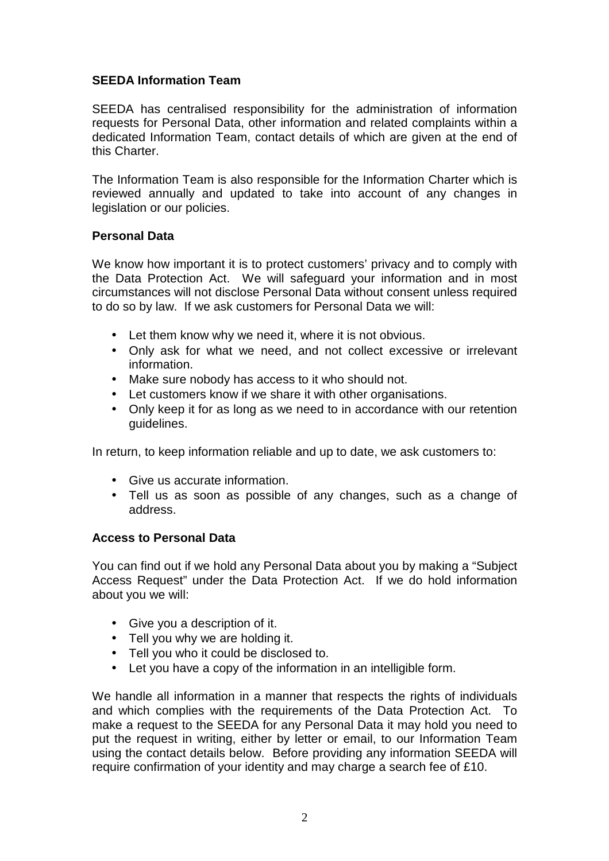# **SEEDA Information Team**

SEEDA has centralised responsibility for the administration of information requests for Personal Data, other information and related complaints within a dedicated Information Team, contact details of which are given at the end of this Charter.

The Information Team is also responsible for the Information Charter which is reviewed annually and updated to take into account of any changes in legislation or our policies.

# **Personal Data**

We know how important it is to protect customers' privacy and to comply with the Data Protection Act. We will safeguard your information and in most circumstances will not disclose Personal Data without consent unless required to do so by law. If we ask customers for Personal Data we will:

- Let them know why we need it, where it is not obvious.
- Only ask for what we need, and not collect excessive or irrelevant information.
- Make sure nobody has access to it who should not.
- Let customers know if we share it with other organisations.
- Only keep it for as long as we need to in accordance with our retention guidelines.

In return, to keep information reliable and up to date, we ask customers to:

- Give us accurate information.
- Tell us as soon as possible of any changes, such as a change of address.

## **Access to Personal Data**

You can find out if we hold any Personal Data about you by making a "Subject Access Request" under the Data Protection Act. If we do hold information about you we will:

- Give you a description of it.
- Tell you why we are holding it.
- Tell you who it could be disclosed to.
- Let you have a copy of the information in an intelligible form.

We handle all information in a manner that respects the rights of individuals and which complies with the requirements of the Data Protection Act. To make a request to the SEEDA for any Personal Data it may hold you need to put the request in writing, either by letter or email, to our Information Team using the contact details below. Before providing any information SEEDA will require confirmation of your identity and may charge a search fee of £10.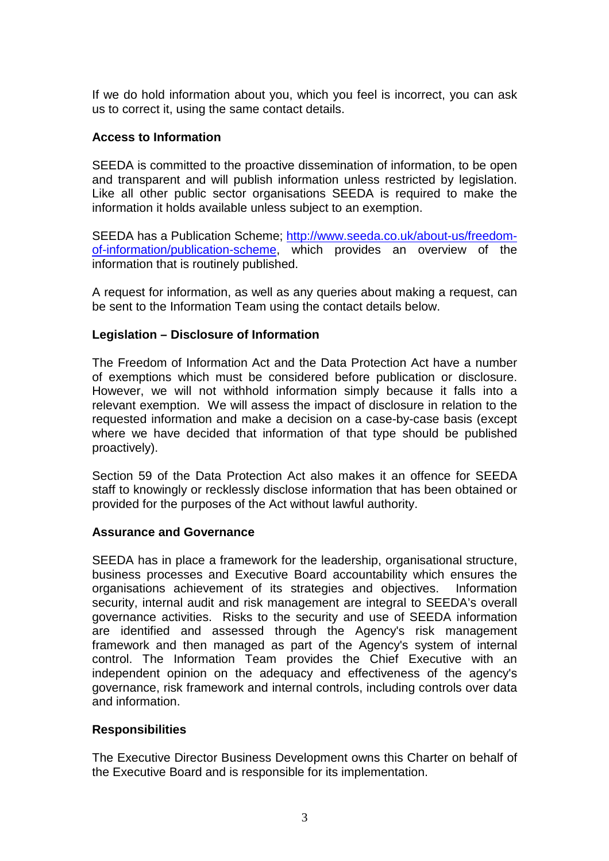If we do hold information about you, which you feel is incorrect, you can ask us to correct it, using the same contact details.

#### **Access to Information**

SEEDA is committed to the proactive dissemination of information, to be open and transparent and will publish information unless restricted by legislation. Like all other public sector organisations SEEDA is required to make the information it holds available unless subject to an exemption.

SEEDA has a Publication Scheme; http://www.seeda.co.uk/about-us/freedomof-information/publication-scheme, which provides an overview of the information that is routinely published.

A request for information, as well as any queries about making a request, can be sent to the Information Team using the contact details below.

## **Legislation – Disclosure of Information**

The Freedom of Information Act and the Data Protection Act have a number of exemptions which must be considered before publication or disclosure. However, we will not withhold information simply because it falls into a relevant exemption. We will assess the impact of disclosure in relation to the requested information and make a decision on a case-by-case basis (except where we have decided that information of that type should be published proactively).

Section 59 of the Data Protection Act also makes it an offence for SEEDA staff to knowingly or recklessly disclose information that has been obtained or provided for the purposes of the Act without lawful authority.

#### **Assurance and Governance**

SEEDA has in place a framework for the leadership, organisational structure, business processes and Executive Board accountability which ensures the organisations achievement of its strategies and objectives. Information security, internal audit and risk management are integral to SEEDA's overall governance activities. Risks to the security and use of SEEDA information are identified and assessed through the Agency's risk management framework and then managed as part of the Agency's system of internal control. The Information Team provides the Chief Executive with an independent opinion on the adequacy and effectiveness of the agency's governance, risk framework and internal controls, including controls over data and information.

## **Responsibilities**

The Executive Director Business Development owns this Charter on behalf of the Executive Board and is responsible for its implementation.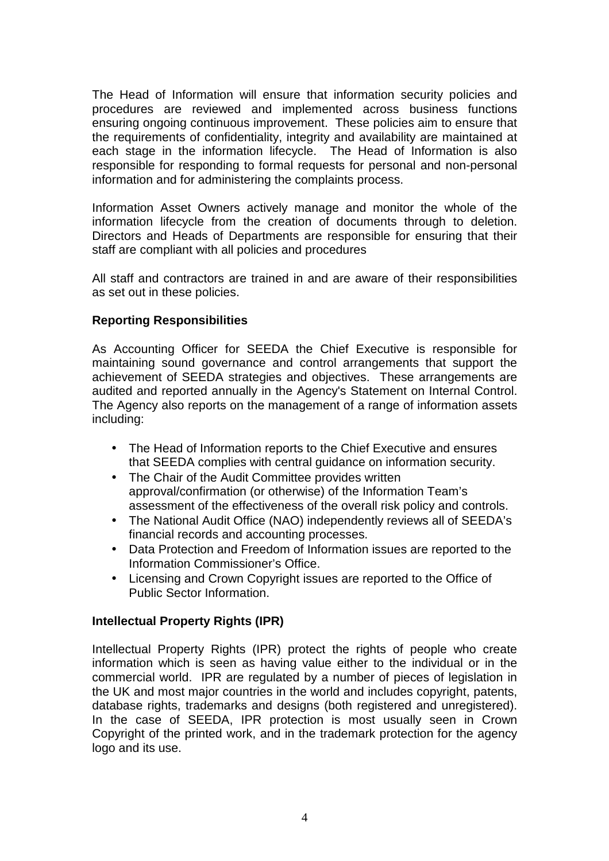The Head of Information will ensure that information security policies and procedures are reviewed and implemented across business functions ensuring ongoing continuous improvement. These policies aim to ensure that the requirements of confidentiality, integrity and availability are maintained at each stage in the information lifecycle. The Head of Information is also responsible for responding to formal requests for personal and non-personal information and for administering the complaints process.

Information Asset Owners actively manage and monitor the whole of the information lifecycle from the creation of documents through to deletion. Directors and Heads of Departments are responsible for ensuring that their staff are compliant with all policies and procedures

All staff and contractors are trained in and are aware of their responsibilities as set out in these policies.

# **Reporting Responsibilities**

As Accounting Officer for SEEDA the Chief Executive is responsible for maintaining sound governance and control arrangements that support the achievement of SEEDA strategies and objectives. These arrangements are audited and reported annually in the Agency's Statement on Internal Control. The Agency also reports on the management of a range of information assets including:

- The Head of Information reports to the Chief Executive and ensures that SEEDA complies with central guidance on information security.
- The Chair of the Audit Committee provides written approval/confirmation (or otherwise) of the Information Team's assessment of the effectiveness of the overall risk policy and controls.
- The National Audit Office (NAO) independently reviews all of SEEDA's financial records and accounting processes.
- Data Protection and Freedom of Information issues are reported to the Information Commissioner's Office.
- Licensing and Crown Copyright issues are reported to the Office of Public Sector Information.

## **Intellectual Property Rights (IPR)**

Intellectual Property Rights (IPR) protect the rights of people who create information which is seen as having value either to the individual or in the commercial world. IPR are regulated by a number of pieces of legislation in the UK and most major countries in the world and includes copyright, patents, database rights, trademarks and designs (both registered and unregistered). In the case of SEEDA, IPR protection is most usually seen in Crown Copyright of the printed work, and in the trademark protection for the agency logo and its use.